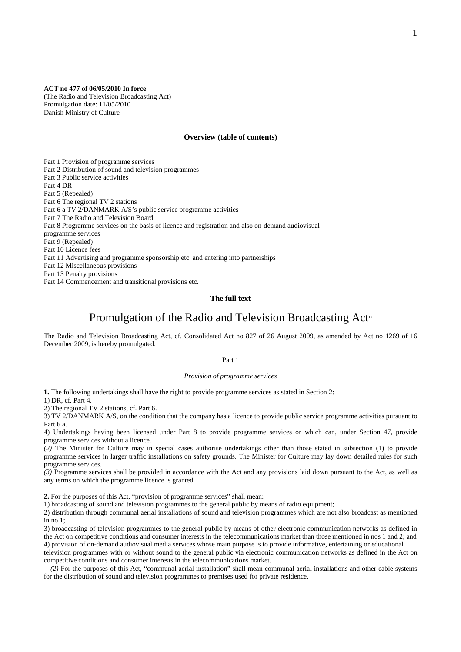**ACT no 477 of 06/05/2010 In force** 

(The Radio and Television Broadcasting Act) Promulgation date: 11/05/2010 Danish Ministry of Culture

### **Overview (table of contents)**

Part 1 Provision of programme services Part 2 Distribution of sound and television programmes Part 3 Public service activities Part 4 DR Part 5 (Repealed) Part 6 The regional TV 2 stations Part 6 a TV 2/DANMARK A/S's public service programme activities Part 7 The Radio and Television Board Part 8 Programme services on the basis of licence and registration and also on-demand audiovisual programme services Part 9 (Repealed) Part 10 Licence fees Part 11 Advertising and programme sponsorship etc. and entering into partnerships Part 12 Miscellaneous provisions Part 13 Penalty provisions Part 14 Commencement and transitional provisions etc.

### **The full text**

# Promulgation of the Radio and Television Broadcasting Act<sup>1</sup>

The Radio and Television Broadcasting Act, cf. Consolidated Act no 827 of 26 August 2009, as amended by Act no 1269 of 16 December 2009, is hereby promulgated.

#### Part 1

#### *Provision of programme services*

**1.** The following undertakings shall have the right to provide programme services as stated in Section 2:

1) DR, cf. Part 4.

2) The regional TV 2 stations, cf. Part 6.

3) TV 2/DANMARK A/S, on the condition that the company has a licence to provide public service programme activities pursuant to Part 6 a.

4) Undertakings having been licensed under Part 8 to provide programme services or which can, under Section 47, provide programme services without a licence.

*(2)* The Minister for Culture may in special cases authorise undertakings other than those stated in subsection (1) to provide programme services in larger traffic installations on safety grounds. The Minister for Culture may lay down detailed rules for such programme services.

*(3)* Programme services shall be provided in accordance with the Act and any provisions laid down pursuant to the Act, as well as any terms on which the programme licence is granted.

**2.** For the purposes of this Act, "provision of programme services" shall mean:

1) broadcasting of sound and television programmes to the general public by means of radio equipment;

2) distribution through communal aerial installations of sound and television programmes which are not also broadcast as mentioned in no 1;

3) broadcasting of television programmes to the general public by means of other electronic communication networks as defined in the Act on competitive conditions and consumer interests in the telecommunications market than those mentioned in nos 1 and 2; and 4) provision of on-demand audiovisual media services whose main purpose is to provide informative, entertaining or educational

television programmes with or without sound to the general public via electronic communication networks as defined in the Act on competitive conditions and consumer interests in the telecommunications market.

*(2)* For the purposes of this Act, "communal aerial installation" shall mean communal aerial installations and other cable systems for the distribution of sound and television programmes to premises used for private residence.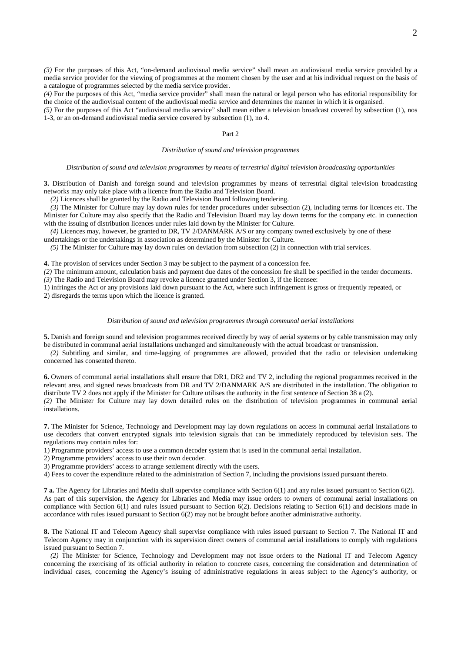*(3)* For the purposes of this Act, "on-demand audiovisual media service" shall mean an audiovisual media service provided by a media service provider for the viewing of programmes at the moment chosen by the user and at his individual request on the basis of a catalogue of programmes selected by the media service provider.

*(4)* For the purposes of this Act, "media service provider" shall mean the natural or legal person who has editorial responsibility for the choice of the audiovisual content of the audiovisual media service and determines the manner in which it is organised.

*(5)* For the purposes of this Act "audiovisual media service" shall mean either a television broadcast covered by subsection (1), nos 1-3, or an on-demand audiovisual media service covered by subsection (1), no 4.

### Part 2

### *Distribution of sound and television programmes*

#### *Distribution of sound and television programmes by means of terrestrial digital television broadcasting opportunities*

**3.** Distribution of Danish and foreign sound and television programmes by means of terrestrial digital television broadcasting networks may only take place with a licence from the Radio and Television Board.

*(2)* Licences shall be granted by the Radio and Television Board following tendering.

*(3)* The Minister for Culture may lay down rules for tender procedures under subsection (2), including terms for licences etc. The Minister for Culture may also specify that the Radio and Television Board may lay down terms for the company etc. in connection with the issuing of distribution licences under rules laid down by the Minister for Culture.

*(4)* Licences may, however, be granted to DR, TV 2/DANMARK A/S or any company owned exclusively by one of these undertakings or the undertakings in association as determined by the Minister for Culture.

*(5)* The Minister for Culture may lay down rules on deviation from subsection (2) in connection with trial services.

**4.** The provision of services under Section 3 may be subject to the payment of a concession fee.

*(2)* The minimum amount, calculation basis and payment due dates of the concession fee shall be specified in the tender documents. *(3)* The Radio and Television Board may revoke a licence granted under Section 3, if the licensee:

1) infringes the Act or any provisions laid down pursuant to the Act, where such infringement is gross or frequently repeated, or 2) disregards the terms upon which the licence is granted.

#### *Distribution of sound and television programmes through communal aerial installations*

**5.** Danish and foreign sound and television programmes received directly by way of aerial systems or by cable transmission may only be distributed in communal aerial installations unchanged and simultaneously with the actual broadcast or transmission.

*(2)* Subtitling and similar, and time-lagging of programmes are allowed, provided that the radio or television undertaking concerned has consented thereto.

**6.** Owners of communal aerial installations shall ensure that DR1, DR2 and TV 2, including the regional programmes received in the relevant area, and signed news broadcasts from DR and TV 2/DANMARK A/S are distributed in the installation. The obligation to distribute TV 2 does not apply if the Minister for Culture utilises the authority in the first sentence of Section 38 a (2). *(2)* The Minister for Culture may lay down detailed rules on the distribution of television programmes in communal aerial installations.

**7.** The Minister for Science, Technology and Development may lay down regulations on access in communal aerial installations to use decoders that convert encrypted signals into television signals that can be immediately reproduced by television sets. The regulations may contain rules for:

1) Programme providers' access to use a common decoder system that is used in the communal aerial installation.

2) Programme providers' access to use their own decoder.

3) Programme providers' access to arrange settlement directly with the users.

4) Fees to cover the expenditure related to the administration of Section 7, including the provisions issued pursuant thereto.

**7 a.** The Agency for Libraries and Media shall supervise compliance with Section 6(1) and any rules issued pursuant to Section 6(2). As part of this supervision, the Agency for Libraries and Media may issue orders to owners of communal aerial installations on compliance with Section 6(1) and rules issued pursuant to Section 6(2). Decisions relating to Section 6(1) and decisions made in accordance with rules issued pursuant to Section 6(2) may not be brought before another administrative authority.

**8.** The National IT and Telecom Agency shall supervise compliance with rules issued pursuant to Section 7. The National IT and Telecom Agency may in conjunction with its supervision direct owners of communal aerial installations to comply with regulations issued pursuant to Section 7.

*(2)* The Minister for Science, Technology and Development may not issue orders to the National IT and Telecom Agency concerning the exercising of its official authority in relation to concrete cases, concerning the consideration and determination of individual cases, concerning the Agency's issuing of administrative regulations in areas subject to the Agency's authority, or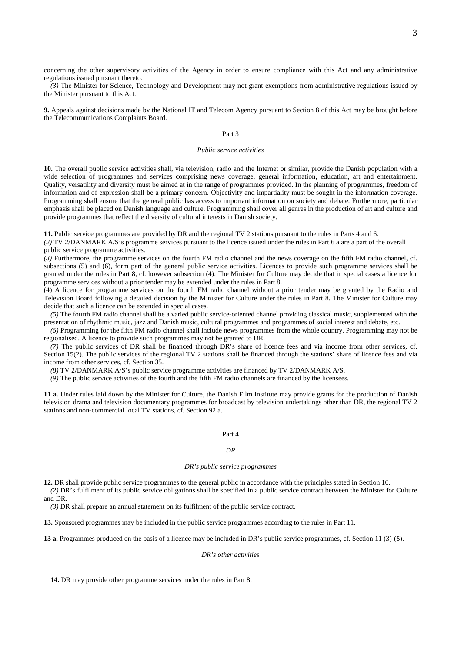concerning the other supervisory activities of the Agency in order to ensure compliance with this Act and any administrative regulations issued pursuant thereto.

*(3)* The Minister for Science, Technology and Development may not grant exemptions from administrative regulations issued by the Minister pursuant to this Act.

**9.** Appeals against decisions made by the National IT and Telecom Agency pursuant to Section 8 of this Act may be brought before the Telecommunications Complaints Board.

#### Part 3

### *Public service activities*

**10.** The overall public service activities shall, via television, radio and the Internet or similar, provide the Danish population with a wide selection of programmes and services comprising news coverage, general information, education, art and entertainment. Quality, versatility and diversity must be aimed at in the range of programmes provided. In the planning of programmes, freedom of information and of expression shall be a primary concern. Objectivity and impartiality must be sought in the information coverage. Programming shall ensure that the general public has access to important information on society and debate. Furthermore, particular emphasis shall be placed on Danish language and culture. Programming shall cover all genres in the production of art and culture and provide programmes that reflect the diversity of cultural interests in Danish society.

**11.** Public service programmes are provided by DR and the regional TV 2 stations pursuant to the rules in Parts 4 and 6.

*(2)* TV 2/DANMARK A/S's programme services pursuant to the licence issued under the rules in Part 6 a are a part of the overall public service programme activities.

*(3)* Furthermore, the programme services on the fourth FM radio channel and the news coverage on the fifth FM radio channel, cf. subsections (5) and (6), form part of the general public service activities. Licences to provide such programme services shall be granted under the rules in Part 8, cf. however subsection (4). The Minister for Culture may decide that in special cases a licence for programme services without a prior tender may be extended under the rules in Part 8.

(4) A licence for programme services on the fourth FM radio channel without a prior tender may be granted by the Radio and Television Board following a detailed decision by the Minister for Culture under the rules in Part 8. The Minister for Culture may decide that such a licence can be extended in special cases.

*(5)* The fourth FM radio channel shall be a varied public service-oriented channel providing classical music, supplemented with the presentation of rhythmic music, jazz and Danish music, cultural programmes and programmes of social interest and debate, etc.

*(6)* Programming for the fifth FM radio channel shall include news programmes from the whole country. Programming may not be regionalised. A licence to provide such programmes may not be granted to DR.

*(7)* The public services of DR shall be financed through DR's share of licence fees and via income from other services, cf. Section 15(2). The public services of the regional TV 2 stations shall be financed through the stations' share of licence fees and via income from other services, cf. Section 35.

*(8)* TV 2/DANMARK A/S's public service programme activities are financed by TV 2/DANMARK A/S.

*(9)* The public service activities of the fourth and the fifth FM radio channels are financed by the licensees.

**11 a.** Under rules laid down by the Minister for Culture, the Danish Film Institute may provide grants for the production of Danish television drama and television documentary programmes for broadcast by television undertakings other than DR, the regional TV 2 stations and non-commercial local TV stations, cf. Section 92 a.

#### Part 4

### *DR*

#### *DR's public service programmes*

**12.** DR shall provide public service programmes to the general public in accordance with the principles stated in Section 10. *(2)* DR's fulfilment of its public service obligations shall be specified in a public service contract between the Minister for Culture

and DR.

*(3)* DR shall prepare an annual statement on its fulfilment of the public service contract.

**13.** Sponsored programmes may be included in the public service programmes according to the rules in Part 11.

**13 a.** Programmes produced on the basis of a licence may be included in DR's public service programmes, cf. Section 11 (3)-(5).

### *DR's other activities*

**14.** DR may provide other programme services under the rules in Part 8.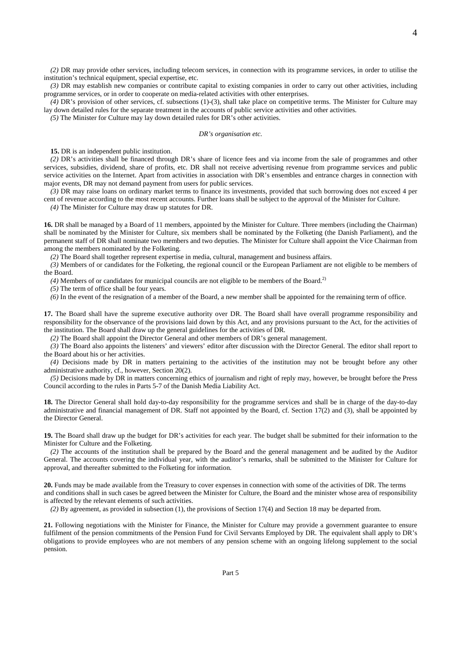*(2)* DR may provide other services, including telecom services, in connection with its programme services, in order to utilise the institution's technical equipment, special expertise, etc.

*(3)* DR may establish new companies or contribute capital to existing companies in order to carry out other activities, including programme services, or in order to cooperate on media-related activities with other enterprises.

*(4)* DR's provision of other services, cf. subsections (1)-(3), shall take place on competitive terms. The Minister for Culture may lay down detailed rules for the separate treatment in the accounts of public service activities and other activities.

*(5)* The Minister for Culture may lay down detailed rules for DR's other activities.

#### *DR's organisation etc.*

**15.** DR is an independent public institution.

*(2)* DR's activities shall be financed through DR's share of licence fees and via income from the sale of programmes and other services, subsidies, dividend, share of profits, etc. DR shall not receive advertising revenue from programme services and public service activities on the Internet. Apart from activities in association with DR's ensembles and entrance charges in connection with major events, DR may not demand payment from users for public services.

*(3)* DR may raise loans on ordinary market terms to finance its investments, provided that such borrowing does not exceed 4 per cent of revenue according to the most recent accounts. Further loans shall be subject to the approval of the Minister for Culture.

*(4)* The Minister for Culture may draw up statutes for DR.

**16.** DR shall be managed by a Board of 11 members, appointed by the Minister for Culture. Three members (including the Chairman) shall be nominated by the Minister for Culture, six members shall be nominated by the Folketing (the Danish Parliament), and the permanent staff of DR shall nominate two members and two deputies. The Minister for Culture shall appoint the Vice Chairman from among the members nominated by the Folketing.

*(2)* The Board shall together represent expertise in media, cultural, management and business affairs.

*(3)* Members of or candidates for the Folketing, the regional council or the European Parliament are not eligible to be members of the Board.

*(4)* Members of or candidates for municipal councils are not eligible to be members of the Board.2)

*(5)* The term of office shall be four years.

*(6)* In the event of the resignation of a member of the Board, a new member shall be appointed for the remaining term of office.

**17.** The Board shall have the supreme executive authority over DR. The Board shall have overall programme responsibility and responsibility for the observance of the provisions laid down by this Act, and any provisions pursuant to the Act, for the activities of the institution. The Board shall draw up the general guidelines for the activities of DR.

*(2)* The Board shall appoint the Director General and other members of DR's general management.

*(3)* The Board also appoints the listeners' and viewers' editor after discussion with the Director General. The editor shall report to the Board about his or her activities.

*(4)* Decisions made by DR in matters pertaining to the activities of the institution may not be brought before any other administrative authority, cf., however, Section 20(2).

*(5)* Decisions made by DR in matters concerning ethics of journalism and right of reply may, however, be brought before the Press Council according to the rules in Parts 5-7 of the Danish Media Liability Act.

**18.** The Director General shall hold day-to-day responsibility for the programme services and shall be in charge of the day-to-day administrative and financial management of DR. Staff not appointed by the Board, cf. Section 17(2) and (3), shall be appointed by the Director General.

**19.** The Board shall draw up the budget for DR's activities for each year. The budget shall be submitted for their information to the Minister for Culture and the Folketing.

*(2)* The accounts of the institution shall be prepared by the Board and the general management and be audited by the Auditor General. The accounts covering the individual year, with the auditor's remarks, shall be submitted to the Minister for Culture for approval, and thereafter submitted to the Folketing for information.

**20.** Funds may be made available from the Treasury to cover expenses in connection with some of the activities of DR. The terms and conditions shall in such cases be agreed between the Minister for Culture, the Board and the minister whose area of responsibility is affected by the relevant elements of such activities.

*(2)* By agreement, as provided in subsection (1), the provisions of Section 17(4) and Section 18 may be departed from.

**21.** Following negotiations with the Minister for Finance, the Minister for Culture may provide a government guarantee to ensure fulfilment of the pension commitments of the Pension Fund for Civil Servants Employed by DR. The equivalent shall apply to DR's obligations to provide employees who are not members of any pension scheme with an ongoing lifelong supplement to the social pension.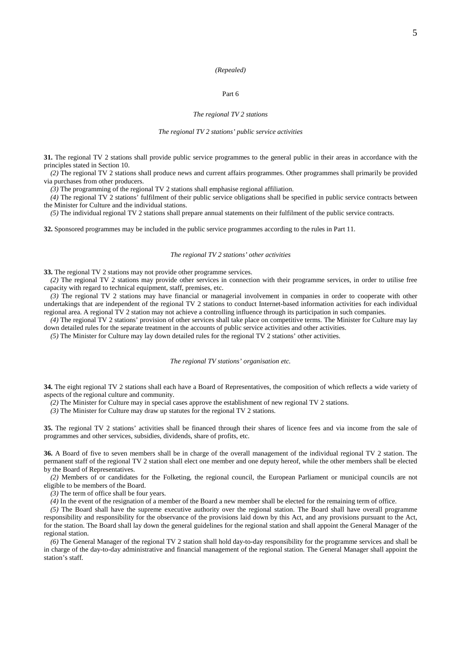#### *(Repealed)*

### Part 6

#### *The regional TV 2 stations*

#### *The regional TV 2 stations' public service activities*

**31.** The regional TV 2 stations shall provide public service programmes to the general public in their areas in accordance with the principles stated in Section 10.

*(2)* The regional TV 2 stations shall produce news and current affairs programmes. Other programmes shall primarily be provided via purchases from other producers.

*(3)* The programming of the regional TV 2 stations shall emphasise regional affiliation.

*(4)* The regional TV 2 stations' fulfilment of their public service obligations shall be specified in public service contracts between the Minister for Culture and the individual stations.

*(5)* The individual regional TV 2 stations shall prepare annual statements on their fulfilment of the public service contracts.

**32.** Sponsored programmes may be included in the public service programmes according to the rules in Part 11.

#### *The regional TV 2 stations' other activities*

**33.** The regional TV 2 stations may not provide other programme services.

*(2)* The regional TV 2 stations may provide other services in connection with their programme services, in order to utilise free capacity with regard to technical equipment, staff, premises, etc.

*(3)* The regional TV 2 stations may have financial or managerial involvement in companies in order to cooperate with other undertakings that are independent of the regional TV 2 stations to conduct Internet-based information activities for each individual regional area. A regional TV 2 station may not achieve a controlling influence through its participation in such companies.

*(4)* The regional TV 2 stations' provision of other services shall take place on competitive terms. The Minister for Culture may lay down detailed rules for the separate treatment in the accounts of public service activities and other activities.

*(5)* The Minister for Culture may lay down detailed rules for the regional TV 2 stations' other activities.

#### *The regional TV stations' organisation etc.*

**34.** The eight regional TV 2 stations shall each have a Board of Representatives, the composition of which reflects a wide variety of aspects of the regional culture and community.

*(2)* The Minister for Culture may in special cases approve the establishment of new regional TV 2 stations.

*(3)* The Minister for Culture may draw up statutes for the regional TV 2 stations.

**35.** The regional TV 2 stations' activities shall be financed through their shares of licence fees and via income from the sale of programmes and other services, subsidies, dividends, share of profits, etc.

**36.** A Board of five to seven members shall be in charge of the overall management of the individual regional TV 2 station. The permanent staff of the regional TV 2 station shall elect one member and one deputy hereof, while the other members shall be elected by the Board of Representatives.

*(2)* Members of or candidates for the Folketing, the regional council, the European Parliament or municipal councils are not eligible to be members of the Board.

*(3)* The term of office shall be four years.

*(4)* In the event of the resignation of a member of the Board a new member shall be elected for the remaining term of office.

*(5)* The Board shall have the supreme executive authority over the regional station. The Board shall have overall programme responsibility and responsibility for the observance of the provisions laid down by this Act, and any provisions pursuant to the Act, for the station. The Board shall lay down the general guidelines for the regional station and shall appoint the General Manager of the regional station.

*(6)* The General Manager of the regional TV 2 station shall hold day-to-day responsibility for the programme services and shall be in charge of the day-to-day administrative and financial management of the regional station. The General Manager shall appoint the station's staff.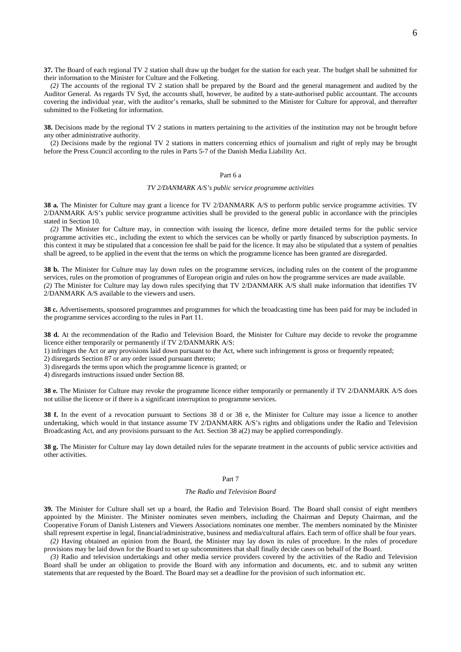**37.** The Board of each regional TV 2 station shall draw up the budget for the station for each year. The budget shall be submitted for their information to the Minister for Culture and the Folketing.

*(2)* The accounts of the regional TV 2 station shall be prepared by the Board and the general management and audited by the Auditor General. As regards TV Syd, the accounts shall, however, be audited by a state-authorised public accountant. The accounts covering the individual year, with the auditor's remarks, shall be submitted to the Minister for Culture for approval, and thereafter submitted to the Folketing for information.

**38.** Decisions made by the regional TV 2 stations in matters pertaining to the activities of the institution may not be brought before any other administrative authority.

(2) Decisions made by the regional TV 2 stations in matters concerning ethics of journalism and right of reply may be brought before the Press Council according to the rules in Parts 5-7 of the Danish Media Liability Act.

### Part 6 a

#### *TV 2/DANMARK A/S's public service programme activities*

**38 a.** The Minister for Culture may grant a licence for TV 2/DANMARK A/S to perform public service programme activities. TV 2/DANMARK A/S's public service programme activities shall be provided to the general public in accordance with the principles stated in Section 10.

*(2)* The Minister for Culture may, in connection with issuing the licence, define more detailed terms for the public service programme activities etc., including the extent to which the services can be wholly or partly financed by subscription payments. In this context it may be stipulated that a concession fee shall be paid for the licence. It may also be stipulated that a system of penalties shall be agreed, to be applied in the event that the terms on which the programme licence has been granted are disregarded.

**38 b.** The Minister for Culture may lay down rules on the programme services, including rules on the content of the programme services, rules on the promotion of programmes of European origin and rules on how the programme services are made available. *(2)* The Minister for Culture may lay down rules specifying that TV 2/DANMARK A/S shall make information that identifies TV 2/DANMARK A/S available to the viewers and users.

**38 c.** Advertisements, sponsored programmes and programmes for which the broadcasting time has been paid for may be included in the programme services according to the rules in Part 11.

**38 d.** At the recommendation of the Radio and Television Board, the Minister for Culture may decide to revoke the programme licence either temporarily or permanently if TV 2/DANMARK A/S:

1) infringes the Act or any provisions laid down pursuant to the Act, where such infringement is gross or frequently repeated;

2) disregards Section 87 or any order issued pursuant thereto;

3) disregards the terms upon which the programme licence is granted; or

4) disregards instructions issued under Section 88.

**38 e.** The Minister for Culture may revoke the programme licence either temporarily or permanently if TV 2/DANMARK A/S does not utilise the licence or if there is a significant interruption to programme services.

**38 f.** In the event of a revocation pursuant to Sections 38 d or 38 e, the Minister for Culture may issue a licence to another undertaking, which would in that instance assume TV 2/DANMARK A/S's rights and obligations under the Radio and Television Broadcasting Act, and any provisions pursuant to the Act. Section 38 a(2) may be applied correspondingly.

**38 g.** The Minister for Culture may lay down detailed rules for the separate treatment in the accounts of public service activities and other activities.

#### Part 7

#### *The Radio and Television Board*

**39.** The Minister for Culture shall set up a board, the Radio and Television Board. The Board shall consist of eight members appointed by the Minister. The Minister nominates seven members, including the Chairman and Deputy Chairman, and the Cooperative Forum of Danish Listeners and Viewers Associations nominates one member. The members nominated by the Minister shall represent expertise in legal, financial/administrative, business and media/cultural affairs. Each term of office shall be four years.

*(2)* Having obtained an opinion from the Board, the Minister may lay down its rules of procedure. In the rules of procedure provisions may be laid down for the Board to set up subcommittees that shall finally decide cases on behalf of the Board.

*(3)* Radio and television undertakings and other media service providers covered by the activities of the Radio and Television Board shall be under an obligation to provide the Board with any information and documents, etc. and to submit any written statements that are requested by the Board. The Board may set a deadline for the provision of such information etc.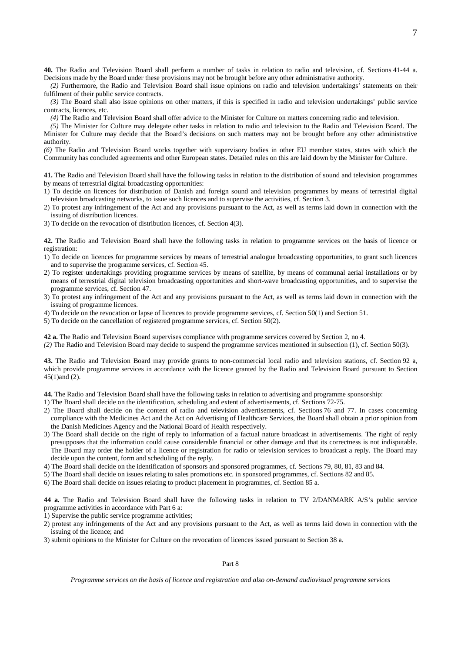**40.** The Radio and Television Board shall perform a number of tasks in relation to radio and television, cf. Sections 41-44 a. Decisions made by the Board under these provisions may not be brought before any other administrative authority.

*(2)* Furthermore, the Radio and Television Board shall issue opinions on radio and television undertakings' statements on their fulfilment of their public service contracts.

*(3)* The Board shall also issue opinions on other matters, if this is specified in radio and television undertakings' public service contracts, licences, etc.

*(4)* The Radio and Television Board shall offer advice to the Minister for Culture on matters concerning radio and television.

*(5)* The Minister for Culture may delegate other tasks in relation to radio and television to the Radio and Television Board. The Minister for Culture may decide that the Board's decisions on such matters may not be brought before any other administrative authority.

*(6)* The Radio and Television Board works together with supervisory bodies in other EU member states, states with which the Community has concluded agreements and other European states. Detailed rules on this are laid down by the Minister for Culture.

**41.** The Radio and Television Board shall have the following tasks in relation to the distribution of sound and television programmes by means of terrestrial digital broadcasting opportunities:

- 1) To decide on licences for distribution of Danish and foreign sound and television programmes by means of terrestrial digital television broadcasting networks, to issue such licences and to supervise the activities, cf. Section 3.
- 2) To protest any infringement of the Act and any provisions pursuant to the Act, as well as terms laid down in connection with the issuing of distribution licences.
- 3) To decide on the revocation of distribution licences, cf. Section 4(3).

**42.** The Radio and Television Board shall have the following tasks in relation to programme services on the basis of licence or registration:

- 1) To decide on licences for programme services by means of terrestrial analogue broadcasting opportunities, to grant such licences and to supervise the programme services, cf. Section 45.
- 2) To register undertakings providing programme services by means of satellite, by means of communal aerial installations or by means of terrestrial digital television broadcasting opportunities and short-wave broadcasting opportunities, and to supervise the programme services, cf. Section 47.
- 3) To protest any infringement of the Act and any provisions pursuant to the Act, as well as terms laid down in connection with the issuing of programme licences.
- 4) To decide on the revocation or lapse of licences to provide programme services, cf. Section 50(1) and Section 51.
- 5) To decide on the cancellation of registered programme services, cf. Section 50(2).

**42 a.** The Radio and Television Board supervises compliance with programme services covered by Section 2, no 4.

*(2)* The Radio and Television Board may decide to suspend the programme services mentioned in subsection (1), cf. Section 50(3).

**43.** The Radio and Television Board may provide grants to non-commercial local radio and television stations, cf. Section 92 a, which provide programme services in accordance with the licence granted by the Radio and Television Board pursuant to Section 45(1)and (2).

**44.** The Radio and Television Board shall have the following tasks in relation to advertising and programme sponsorship:

- 1) The Board shall decide on the identification, scheduling and extent of advertisements, cf. Sections 72-75.
- 2) The Board shall decide on the content of radio and television advertisements, cf. Sections 76 and 77. In cases concerning compliance with the Medicines Act and the Act on Advertising of Healthcare Services, the Board shall obtain a prior opinion from the Danish Medicines Agency and the National Board of Health respectively.
- 3) The Board shall decide on the right of reply to information of a factual nature broadcast in advertisements. The right of reply presupposes that the information could cause considerable financial or other damage and that its correctness is not indisputable. The Board may order the holder of a licence or registration for radio or television services to broadcast a reply. The Board may decide upon the content, form and scheduling of the reply.

4) The Board shall decide on the identification of sponsors and sponsored programmes, cf. Sections 79, 80, 81, 83 and 84.

- 5) The Board shall decide on issues relating to sales promotions etc. in sponsored programmes, cf. Sections 82 and 85.
- 6) The Board shall decide on issues relating to product placement in programmes, cf. Section 85 a.

**44 a.** The Radio and Television Board shall have the following tasks in relation to TV 2/DANMARK A/S's public service programme activities in accordance with Part 6 a:

1) Supervise the public service programme activities;

- 2) protest any infringements of the Act and any provisions pursuant to the Act, as well as terms laid down in connection with the issuing of the licence; and
- 3) submit opinions to the Minister for Culture on the revocation of licences issued pursuant to Section 38 a.

Part 8

*Programme services on the basis of licence and registration and also on-demand audiovisual programme services*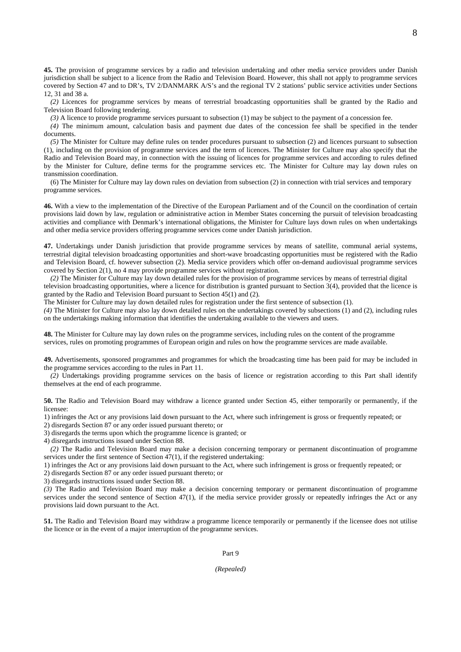**45.** The provision of programme services by a radio and television undertaking and other media service providers under Danish jurisdiction shall be subject to a licence from the Radio and Television Board. However, this shall not apply to programme services covered by Section 47 and to DR's, TV 2/DANMARK A/S's and the regional TV 2 stations' public service activities under Sections 12, 31 and 38 a.

*(2)* Licences for programme services by means of terrestrial broadcasting opportunities shall be granted by the Radio and Television Board following tendering.

*(3)* A licence to provide programme services pursuant to subsection (1) may be subject to the payment of a concession fee.

*(4)* The minimum amount, calculation basis and payment due dates of the concession fee shall be specified in the tender documents.

*(5)* The Minister for Culture may define rules on tender procedures pursuant to subsection (2) and licences pursuant to subsection (1), including on the provision of programme services and the term of licences. The Minister for Culture may also specify that the Radio and Television Board may, in connection with the issuing of licences for programme services and according to rules defined by the Minister for Culture, define terms for the programme services etc. The Minister for Culture may lay down rules on transmission coordination.

(6) The Minister for Culture may lay down rules on deviation from subsection (2) in connection with trial services and temporary programme services.

**46.** With a view to the implementation of the Directive of the European Parliament and of the Council on the coordination of certain provisions laid down by law, regulation or administrative action in Member States concerning the pursuit of television broadcasting activities and compliance with Denmark's international obligations, the Minister for Culture lays down rules on when undertakings and other media service providers offering programme services come under Danish jurisdiction.

**47.** Undertakings under Danish jurisdiction that provide programme services by means of satellite, communal aerial systems, terrestrial digital television broadcasting opportunities and short-wave broadcasting opportunities must be registered with the Radio and Television Board, cf. however subsection (2). Media service providers which offer on-demand audiovisual programme services covered by Section 2(1), no 4 may provide programme services without registration.

*(2)* The Minister for Culture may lay down detailed rules for the provision of programme services by means of terrestrial digital television broadcasting opportunities, where a licence for distribution is granted pursuant to Section 3(4), provided that the licence is granted by the Radio and Television Board pursuant to Section 45(1) and (2).

The Minister for Culture may lay down detailed rules for registration under the first sentence of subsection (1).

*(4)* The Minister for Culture may also lay down detailed rules on the undertakings covered by subsections (1) and (2), including rules on the undertakings making information that identifies the undertaking available to the viewers and users.

**48.** The Minister for Culture may lay down rules on the programme services, including rules on the content of the programme services, rules on promoting programmes of European origin and rules on how the programme services are made available.

**49.** Advertisements, sponsored programmes and programmes for which the broadcasting time has been paid for may be included in the programme services according to the rules in Part 11.

*(2)* Undertakings providing programme services on the basis of licence or registration according to this Part shall identify themselves at the end of each programme.

**50.** The Radio and Television Board may withdraw a licence granted under Section 45, either temporarily or permanently, if the licensee:

1) infringes the Act or any provisions laid down pursuant to the Act, where such infringement is gross or frequently repeated; or

2) disregards Section 87 or any order issued pursuant thereto; or

3) disregards the terms upon which the programme licence is granted; or

4) disregards instructions issued under Section 88.

*(2)* The Radio and Television Board may make a decision concerning temporary or permanent discontinuation of programme services under the first sentence of Section 47(1), if the registered undertaking:

1) infringes the Act or any provisions laid down pursuant to the Act, where such infringement is gross or frequently repeated; or

2) disregards Section 87 or any order issued pursuant thereto; or

3) disregards instructions issued under Section 88.

*(3)* The Radio and Television Board may make a decision concerning temporary or permanent discontinuation of programme services under the second sentence of Section 47(1), if the media service provider grossly or repeatedly infringes the Act or any provisions laid down pursuant to the Act.

**51.** The Radio and Television Board may withdraw a programme licence temporarily or permanently if the licensee does not utilise the licence or in the event of a major interruption of the programme services.

Part 9

*(Repealed)*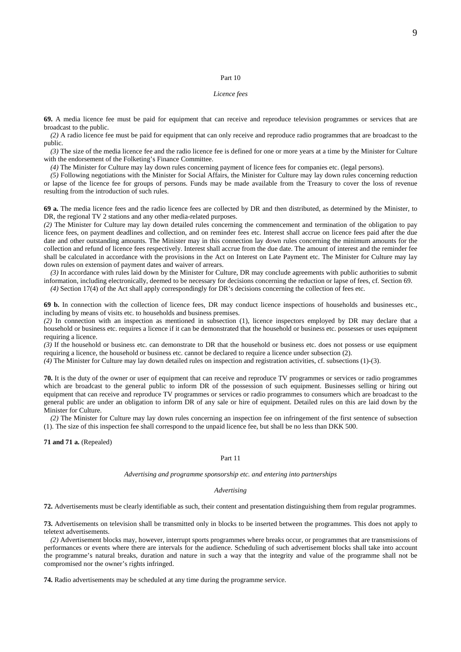#### Part 10

### *Licence fees*

**69.** A media licence fee must be paid for equipment that can receive and reproduce television programmes or services that are broadcast to the public.

*(2)* A radio licence fee must be paid for equipment that can only receive and reproduce radio programmes that are broadcast to the public.

*(3)* The size of the media licence fee and the radio licence fee is defined for one or more years at a time by the Minister for Culture with the endorsement of the Folketing's Finance Committee.

*(4)* The Minister for Culture may lay down rules concerning payment of licence fees for companies etc. (legal persons).

*(5)* Following negotiations with the Minister for Social Affairs, the Minister for Culture may lay down rules concerning reduction or lapse of the licence fee for groups of persons. Funds may be made available from the Treasury to cover the loss of revenue resulting from the introduction of such rules.

**69 a.** The media licence fees and the radio licence fees are collected by DR and then distributed, as determined by the Minister, to DR, the regional TV 2 stations and any other media-related purposes.

*(2)* The Minister for Culture may lay down detailed rules concerning the commencement and termination of the obligation to pay licence fees, on payment deadlines and collection, and on reminder fees etc. Interest shall accrue on licence fees paid after the due date and other outstanding amounts. The Minister may in this connection lay down rules concerning the minimum amounts for the collection and refund of licence fees respectively. Interest shall accrue from the due date. The amount of interest and the reminder fee shall be calculated in accordance with the provisions in the Act on Interest on Late Payment etc. The Minister for Culture may lay down rules on extension of payment dates and waiver of arrears.

*(3)* In accordance with rules laid down by the Minister for Culture, DR may conclude agreements with public authorities to submit information, including electronically, deemed to be necessary for decisions concerning the reduction or lapse of fees, cf. Section 69. *(4)* Section 17(4) of the Act shall apply correspondingly for DR's decisions concerning the collection of fees etc.

**69 b.** In connection with the collection of licence fees, DR may conduct licence inspections of households and businesses etc., including by means of visits etc. to households and business premises.

*(2)* In connection with an inspection as mentioned in subsection (1), licence inspectors employed by DR may declare that a household or business etc. requires a licence if it can be demonstrated that the household or business etc. possesses or uses equipment requiring a licence.

*(3)* If the household or business etc. can demonstrate to DR that the household or business etc. does not possess or use equipment requiring a licence, the household or business etc. cannot be declared to require a licence under subsection (2).

*(4)* The Minister for Culture may lay down detailed rules on inspection and registration activities, cf. subsections (1)-(3).

**70.** It is the duty of the owner or user of equipment that can receive and reproduce TV programmes or services or radio programmes which are broadcast to the general public to inform DR of the possession of such equipment. Businesses selling or hiring out equipment that can receive and reproduce TV programmes or services or radio programmes to consumers which are broadcast to the general public are under an obligation to inform DR of any sale or hire of equipment. Detailed rules on this are laid down by the Minister for Culture.

*(2)* The Minister for Culture may lay down rules concerning an inspection fee on infringement of the first sentence of subsection (1). The size of this inspection fee shall correspond to the unpaid licence fee, but shall be no less than DKK 500.

**71 and 71 a.** (Repealed)

#### Part 11

#### *Advertising and programme sponsorship etc. and entering into partnerships*

#### *Advertising*

**72.** Advertisements must be clearly identifiable as such, their content and presentation distinguishing them from regular programmes.

**73.** Advertisements on television shall be transmitted only in blocks to be inserted between the programmes. This does not apply to teletext advertisements.

*(2)* Advertisement blocks may, however, interrupt sports programmes where breaks occur, or programmes that are transmissions of performances or events where there are intervals for the audience. Scheduling of such advertisement blocks shall take into account the programme's natural breaks, duration and nature in such a way that the integrity and value of the programme shall not be compromised nor the owner's rights infringed.

**74.** Radio advertisements may be scheduled at any time during the programme service.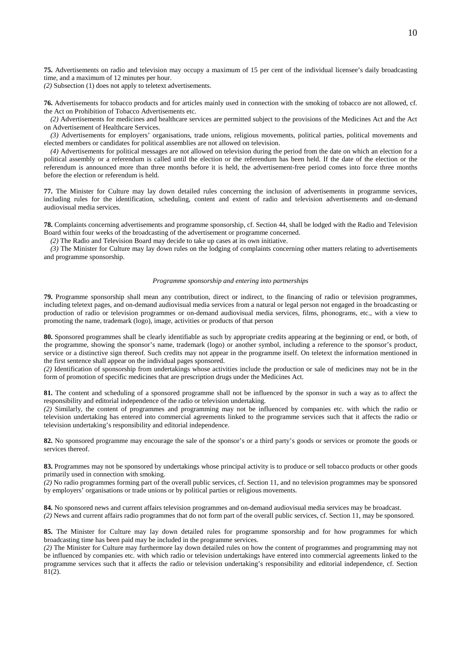**75.** Advertisements on radio and television may occupy a maximum of 15 per cent of the individual licensee's daily broadcasting time, and a maximum of 12 minutes per hour.

*(2)* Subsection (1) does not apply to teletext advertisements.

**76.** Advertisements for tobacco products and for articles mainly used in connection with the smoking of tobacco are not allowed, cf. the Act on Prohibition of Tobacco Advertisements etc.

*(2)* Advertisements for medicines and healthcare services are permitted subject to the provisions of the Medicines Act and the Act on Advertisement of Healthcare Services.

*(3)* Advertisements for employers' organisations, trade unions, religious movements, political parties, political movements and elected members or candidates for political assemblies are not allowed on television.

*(4)* Advertisements for political messages are not allowed on television during the period from the date on which an election for a political assembly or a referendum is called until the election or the referendum has been held. If the date of the election or the referendum is announced more than three months before it is held, the advertisement-free period comes into force three months before the election or referendum is held.

**77.** The Minister for Culture may lay down detailed rules concerning the inclusion of advertisements in programme services, including rules for the identification, scheduling, content and extent of radio and television advertisements and on-demand audiovisual media services.

**78.** Complaints concerning advertisements and programme sponsorship, cf. Section 44, shall be lodged with the Radio and Television Board within four weeks of the broadcasting of the advertisement or programme concerned.

*(2)* The Radio and Television Board may decide to take up cases at its own initiative.

*(3)* The Minister for Culture may lay down rules on the lodging of complaints concerning other matters relating to advertisements and programme sponsorship.

#### *Programme sponsorship and entering into partnerships*

**79.** Programme sponsorship shall mean any contribution, direct or indirect, to the financing of radio or television programmes, including teletext pages, and on-demand audiovisual media services from a natural or legal person not engaged in the broadcasting or production of radio or television programmes or on-demand audiovisual media services, films, phonograms, etc., with a view to promoting the name, trademark (logo), image, activities or products of that person

**80.** Sponsored programmes shall be clearly identifiable as such by appropriate credits appearing at the beginning or end, or both, of the programme, showing the sponsor's name, trademark (logo) or another symbol, including a reference to the sponsor's product, service or a distinctive sign thereof. Such credits may not appear in the programme itself. On teletext the information mentioned in the first sentence shall appear on the individual pages sponsored.

*(2)* Identification of sponsorship from undertakings whose activities include the production or sale of medicines may not be in the form of promotion of specific medicines that are prescription drugs under the Medicines Act.

**81.** The content and scheduling of a sponsored programme shall not be influenced by the sponsor in such a way as to affect the responsibility and editorial independence of the radio or television undertaking.

*(2)* Similarly, the content of programmes and programming may not be influenced by companies etc. with which the radio or television undertaking has entered into commercial agreements linked to the programme services such that it affects the radio or television undertaking's responsibility and editorial independence.

**82.** No sponsored programme may encourage the sale of the sponsor's or a third party's goods or services or promote the goods or services thereof.

83. Programmes may not be sponsored by undertakings whose principal activity is to produce or sell tobacco products or other goods primarily used in connection with smoking.

*(2)* No radio programmes forming part of the overall public services, cf. Section 11, and no television programmes may be sponsored by employers' organisations or trade unions or by political parties or religious movements.

**84.** No sponsored news and current affairs television programmes and on-demand audiovisual media services may be broadcast. *(2)* News and current affairs radio programmes that do not form part of the overall public services, cf. Section 11, may be sponsored.

**85.** The Minister for Culture may lay down detailed rules for programme sponsorship and for how programmes for which broadcasting time has been paid may be included in the programme services.

*(2)* The Minister for Culture may furthermore lay down detailed rules on how the content of programmes and programming may not be influenced by companies etc. with which radio or television undertakings have entered into commercial agreements linked to the programme services such that it affects the radio or television undertaking's responsibility and editorial independence, cf. Section 81(2).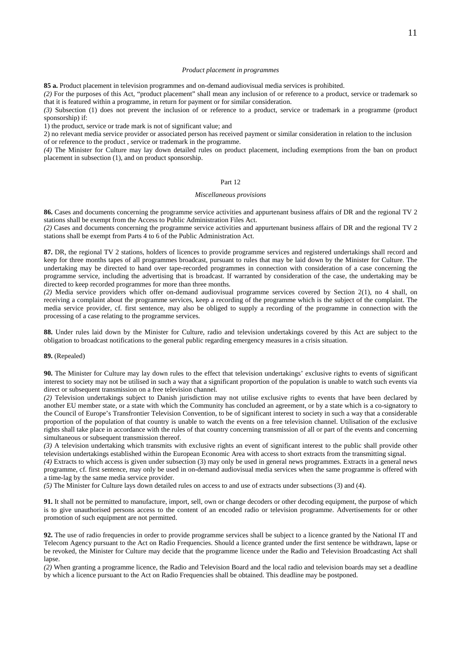### *Product placement in programmes*

**85 a.** Product placement in television programmes and on-demand audiovisual media services is prohibited.

*(2)* For the purposes of this Act, "product placement" shall mean any inclusion of or reference to a product, service or trademark so that it is featured within a programme, in return for payment or for similar consideration.

*(3)* Subsection (1) does not prevent the inclusion of or reference to a product, service or trademark in a programme (product sponsorship) if:

1) the product, service or trade mark is not of significant value; and

2) no relevant media service provider or associated person has received payment or similar consideration in relation to the inclusion of or reference to the product , service or trademark in the programme.

*(4)* The Minister for Culture may lay down detailed rules on product placement, including exemptions from the ban on product placement in subsection (1), and on product sponsorship.

### Part 12

#### *Miscellaneous provisions*

**86.** Cases and documents concerning the programme service activities and appurtenant business affairs of DR and the regional TV 2 stations shall be exempt from the Access to Public Administration Files Act.

*(2)* Cases and documents concerning the programme service activities and appurtenant business affairs of DR and the regional TV 2 stations shall be exempt from Parts 4 to 6 of the Public Administration Act.

**87.** DR, the regional TV 2 stations, holders of licences to provide programme services and registered undertakings shall record and keep for three months tapes of all programmes broadcast, pursuant to rules that may be laid down by the Minister for Culture. The undertaking may be directed to hand over tape-recorded programmes in connection with consideration of a case concerning the programme service, including the advertising that is broadcast. If warranted by consideration of the case, the undertaking may be directed to keep recorded programmes for more than three months.

*(2)* Media service providers which offer on-demand audiovisual programme services covered by Section 2(1), no 4 shall, on receiving a complaint about the programme services, keep a recording of the programme which is the subject of the complaint. The media service provider, cf. first sentence, may also be obliged to supply a recording of the programme in connection with the processing of a case relating to the programme services.

**88.** Under rules laid down by the Minister for Culture, radio and television undertakings covered by this Act are subject to the obligation to broadcast notifications to the general public regarding emergency measures in a crisis situation.

### **89.** (Repealed)

**90.** The Minister for Culture may lay down rules to the effect that television undertakings' exclusive rights to events of significant interest to society may not be utilised in such a way that a significant proportion of the population is unable to watch such events via direct or subsequent transmission on a free television channel.

*(2)* Television undertakings subject to Danish jurisdiction may not utilise exclusive rights to events that have been declared by another EU member state, or a state with which the Community has concluded an agreement, or by a state which is a co-signatory to the Council of Europe's Transfrontier Television Convention, to be of significant interest to society in such a way that a considerable proportion of the population of that country is unable to watch the events on a free television channel. Utilisation of the exclusive rights shall take place in accordance with the rules of that country concerning transmission of all or part of the events and concerning simultaneous or subsequent transmission thereof.

*(3)* A television undertaking which transmits with exclusive rights an event of significant interest to the public shall provide other television undertakings established within the European Economic Area with access to short extracts from the transmitting signal.

*(4)* Extracts to which access is given under subsection (3) may only be used in general news programmes. Extracts in a general news programme, cf. first sentence, may only be used in on-demand audiovisual media services when the same programme is offered with a time-lag by the same media service provider.

*(5)* The Minister for Culture lays down detailed rules on access to and use of extracts under subsections (3) and (4).

**91.** It shall not be permitted to manufacture, import, sell, own or change decoders or other decoding equipment, the purpose of which is to give unauthorised persons access to the content of an encoded radio or television programme. Advertisements for or other promotion of such equipment are not permitted.

**92.** The use of radio frequencies in order to provide programme services shall be subject to a licence granted by the National IT and Telecom Agency pursuant to the Act on Radio Frequencies. Should a licence granted under the first sentence be withdrawn, lapse or be revoked, the Minister for Culture may decide that the programme licence under the Radio and Television Broadcasting Act shall lapse.

*(2)* When granting a programme licence, the Radio and Television Board and the local radio and television boards may set a deadline by which a licence pursuant to the Act on Radio Frequencies shall be obtained. This deadline may be postponed.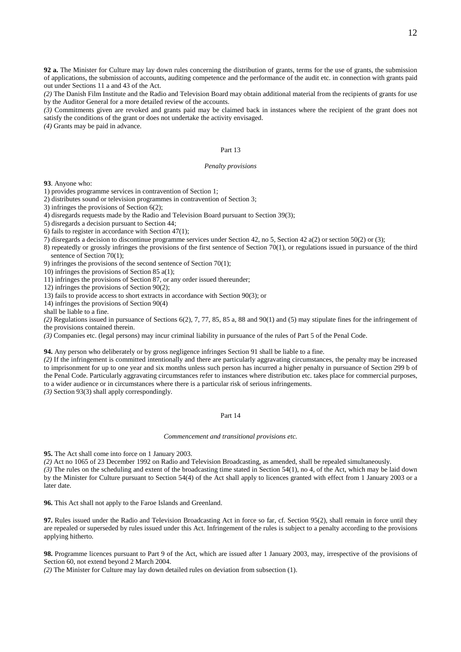**92 a.** The Minister for Culture may lay down rules concerning the distribution of grants, terms for the use of grants, the submission of applications, the submission of accounts, auditing competence and the performance of the audit etc. in connection with grants paid out under Sections 11 a and 43 of the Act.

*(2)* The Danish Film Institute and the Radio and Television Board may obtain additional material from the recipients of grants for use by the Auditor General for a more detailed review of the accounts.

*(3)* Commitments given are revoked and grants paid may be claimed back in instances where the recipient of the grant does not satisfy the conditions of the grant or does not undertake the activity envisaged.

*(4)* Grants may be paid in advance.

### Part 13

#### *Penalty provisions*

**93**. Anyone who:

- 1) provides programme services in contravention of Section 1;
- 2) distributes sound or television programmes in contravention of Section 3;
- 3) infringes the provisions of Section 6(2);
- 4) disregards requests made by the Radio and Television Board pursuant to Section 39(3);
- 5) disregards a decision pursuant to Section 44;
- 6) fails to register in accordance with Section 47(1);
- 7) disregards a decision to discontinue programme services under Section 42, no 5, Section 42 a(2) or section 50(2) or (3);
- 8) repeatedly or grossly infringes the provisions of the first sentence of Section 70(1), or regulations issued in pursuance of the third sentence of Section 70(1);
- 9) infringes the provisions of the second sentence of Section 70(1);
- 10) infringes the provisions of Section 85 a(1);
- 11) infringes the provisions of Section 87, or any order issued thereunder;
- 12) infringes the provisions of Section 90(2);

13) fails to provide access to short extracts in accordance with Section 90(3); or

14) infringes the provisions of Section 90(4)

shall be liable to a fine.

*(2)* Regulations issued in pursuance of Sections 6(2), 7, 77, 85, 85 a, 88 and 90(1) and (5) may stipulate fines for the infringement of the provisions contained therein.

*(3)* Companies etc. (legal persons) may incur criminal liability in pursuance of the rules of Part 5 of the Penal Code.

**94.** Any person who deliberately or by gross negligence infringes Section 91 shall be liable to a fine.

*(2)* If the infringement is committed intentionally and there are particularly aggravating circumstances, the penalty may be increased to imprisonment for up to one year and six months unless such person has incurred a higher penalty in pursuance of Section 299 b of the Penal Code. Particularly aggravating circumstances refer to instances where distribution etc. takes place for commercial purposes, to a wider audience or in circumstances where there is a particular risk of serious infringements.

*(3)* Section 93(3) shall apply correspondingly.

### Part 14

### *Commencement and transitional provisions etc.*

**95.** The Act shall come into force on 1 January 2003.

*(2)* Act no 1065 of 23 December 1992 on Radio and Television Broadcasting, as amended, shall be repealed simultaneously.

*(3)* The rules on the scheduling and extent of the broadcasting time stated in Section 54(1), no 4, of the Act, which may be laid down by the Minister for Culture pursuant to Section 54(4) of the Act shall apply to licences granted with effect from 1 January 2003 or a later date.

**96.** This Act shall not apply to the Faroe Islands and Greenland.

**97.** Rules issued under the Radio and Television Broadcasting Act in force so far, cf. Section 95(2), shall remain in force until they are repealed or superseded by rules issued under this Act. Infringement of the rules is subject to a penalty according to the provisions applying hitherto.

**98.** Programme licences pursuant to Part 9 of the Act, which are issued after 1 January 2003, may, irrespective of the provisions of Section 60, not extend beyond 2 March 2004.

*(2)* The Minister for Culture may lay down detailed rules on deviation from subsection (1).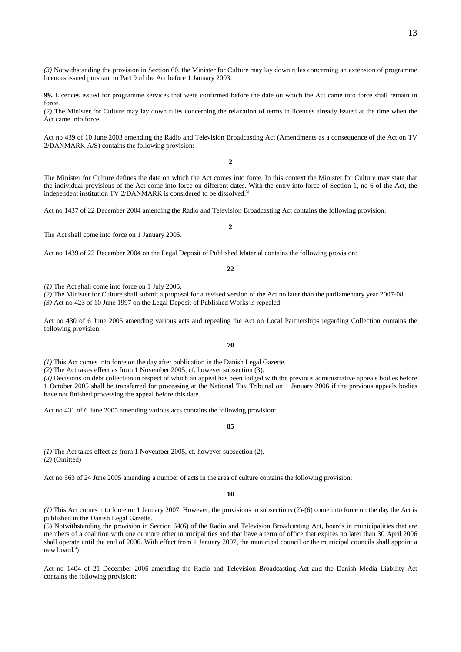*(3)* Notwithstanding the provision in Section 60, the Minister for Culture may lay down rules concerning an extension of programme licences issued pursuant to Part 9 of the Act before 1 January 2003.

**99.** Licences issued for programme services that were confirmed before the date on which the Act came into force shall remain in force.

*(2)* The Minister for Culture may lay down rules concerning the relaxation of terms in licences already issued at the time when the Act came into force.

Act no 439 of 10 June 2003 amending the Radio and Television Broadcasting Act (Amendments as a consequence of the Act on TV 2/DANMARK A/S) contains the following provision:

**2** 

The Minister for Culture defines the date on which the Act comes into force. In this context the Minister for Culture may state that the individual provisions of the Act come into force on different dates. With the entry into force of Section 1, no 6 of the Act, the independent institution TV 2/DANMARK is considered to be dissolved.<sup>3)</sup>

Act no 1437 of 22 December 2004 amending the Radio and Television Broadcasting Act contains the following provision:

The Act shall come into force on 1 January 2005.

Act no 1439 of 22 December 2004 on the Legal Deposit of Published Material contains the following provision:

**22** 

*(1)* The Act shall come into force on 1 July 2005.

*(2)* The Minister for Culture shall submit a proposal for a revised version of the Act no later than the parliamentary year 2007-08. *(3)* Act no 423 of 10 June 1997 on the Legal Deposit of Published Works is repealed.

Act no 430 of 6 June 2005 amending various acts and repealing the Act on Local Partnerships regarding Collection contains the following provision:

**70** 

*(1)* This Act comes into force on the day after publication in the Danish Legal Gazette.

*(2)* The Act takes effect as from 1 November 2005, cf. however subsection (3).

*(3)* Decisions on debt collection in respect of which an appeal has been lodged with the previous administrative appeals bodies before 1 October 2005 shall be transferred for processing at the National Tax Tribunal on 1 January 2006 if the previous appeals bodies have not finished processing the appeal before this date.

Act no 431 of 6 June 2005 amending various acts contains the following provision:

**85** 

*(1)* The Act takes effect as from 1 November 2005, cf. however subsection (2). *(2)* (Omitted)

Act no 563 of 24 June 2005 amending a number of acts in the area of culture contains the following provision:

**10** 

*(1)* This Act comes into force on 1 January 2007. However, the provisions in subsections (2)-(6) come into force on the day the Act is published in the Danish Legal Gazette.

(5) Notwithstanding the provision in Section 64(6) of the Radio and Television Broadcasting Act, boards in municipalities that are members of a coalition with one or more other municipalities and that have a term of office that expires no later than 30 April 2006 shall operate until the end of 2006. With effect from 1 January 2007, the municipal council or the municipal councils shall appoint a new board. $\alpha$ <sup>4</sup>)

Act no 1404 of 21 December 2005 amending the Radio and Television Broadcasting Act and the Danish Media Liability Act contains the following provision:

## $\gamma$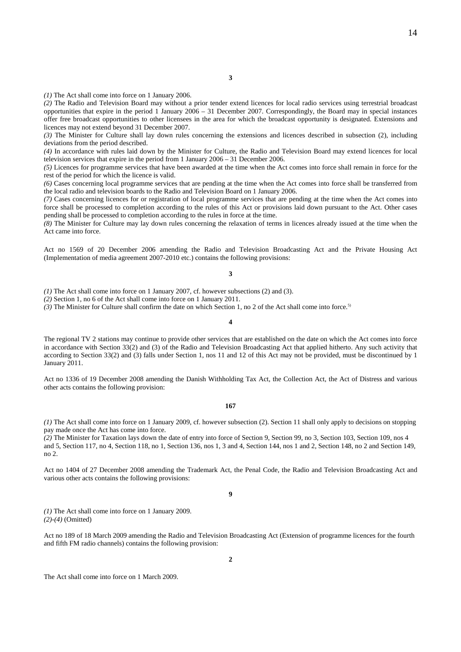*(1)* The Act shall come into force on 1 January 2006.

*(2)* The Radio and Television Board may without a prior tender extend licences for local radio services using terrestrial broadcast opportunities that expire in the period 1 January 2006 – 31 December 2007. Correspondingly, the Board may in special instances offer free broadcast opportunities to other licensees in the area for which the broadcast opportunity is designated. Extensions and licences may not extend beyond 31 December 2007.

*(3)* The Minister for Culture shall lay down rules concerning the extensions and licences described in subsection (2), including deviations from the period described.

*(4)* In accordance with rules laid down by the Minister for Culture, the Radio and Television Board may extend licences for local television services that expire in the period from 1 January 2006 – 31 December 2006.

*(5)* Licences for programme services that have been awarded at the time when the Act comes into force shall remain in force for the rest of the period for which the licence is valid.

*(6)* Cases concerning local programme services that are pending at the time when the Act comes into force shall be transferred from the local radio and television boards to the Radio and Television Board on 1 January 2006.

*(7)* Cases concerning licences for or registration of local programme services that are pending at the time when the Act comes into force shall be processed to completion according to the rules of this Act or provisions laid down pursuant to the Act. Other cases pending shall be processed to completion according to the rules in force at the time.

*(8)* The Minister for Culture may lay down rules concerning the relaxation of terms in licences already issued at the time when the Act came into force.

Act no 1569 of 20 December 2006 amending the Radio and Television Broadcasting Act and the Private Housing Act (Implementation of media agreement 2007-2010 etc.) contains the following provisions:

### **3**

*(1)* The Act shall come into force on 1 January 2007, cf. however subsections (2) and (3).

*(2)* Section 1, no 6 of the Act shall come into force on 1 January 2011.

*(3)* The Minister for Culture shall confirm the date on which Section 1, no 2 of the Act shall come into force.5)

#### **4**

The regional TV 2 stations may continue to provide other services that are established on the date on which the Act comes into force in accordance with Section 33(2) and (3) of the Radio and Television Broadcasting Act that applied hitherto. Any such activity that according to Section 33(2) and (3) falls under Section 1, nos 11 and 12 of this Act may not be provided, must be discontinued by 1 January 2011.

Act no 1336 of 19 December 2008 amending the Danish Withholding Tax Act, the Collection Act, the Act of Distress and various other acts contains the following provision:

#### **167**

*(1)* The Act shall come into force on 1 January 2009, cf. however subsection (2). Section 11 shall only apply to decisions on stopping pay made once the Act has come into force.

*(2)* The Minister for Taxation lays down the date of entry into force of Section 9, Section 99, no 3, Section 103, Section 109, nos 4 and 5, Section 117, no 4, Section 118, no 1, Section 136, nos 1, 3 and 4, Section 144, nos 1 and 2, Section 148, no 2 and Section 149, no 2.

Act no 1404 of 27 December 2008 amending the Trademark Act, the Penal Code, the Radio and Television Broadcasting Act and various other acts contains the following provisions:

**9** 

*(1)* The Act shall come into force on 1 January 2009. *(2)-(4)* (Omitted)

Act no 189 of 18 March 2009 amending the Radio and Television Broadcasting Act (Extension of programme licences for the fourth and fifth FM radio channels) contains the following provision:

The Act shall come into force on 1 March 2009.